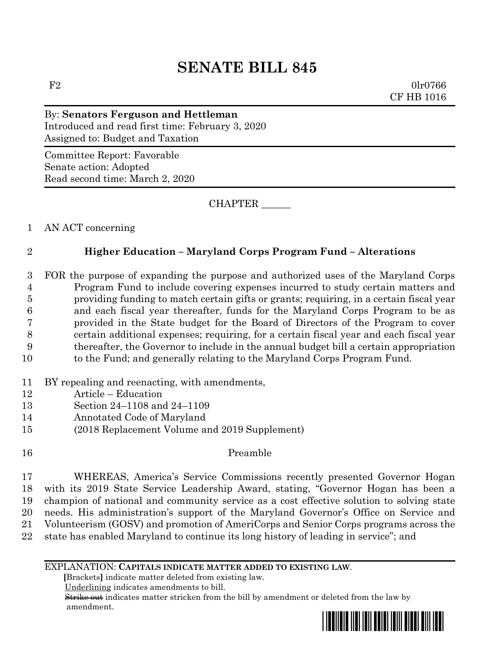# **SENATE BILL 845**

 $F2$  0lr0766 CF HB 1016

## By: **Senators Ferguson and Hettleman** Introduced and read first time: February 3, 2020 Assigned to: Budget and Taxation

Committee Report: Favorable Senate action: Adopted Read second time: March 2, 2020

CHAPTER \_\_\_\_\_\_

1 AN ACT concerning

# 2 **Higher Education – Maryland Corps Program Fund – Alterations**

- 3 FOR the purpose of expanding the purpose and authorized uses of the Maryland Corps 4 Program Fund to include covering expenses incurred to study certain matters and 5 providing funding to match certain gifts or grants; requiring, in a certain fiscal year 6 and each fiscal year thereafter, funds for the Maryland Corps Program to be as 7 provided in the State budget for the Board of Directors of the Program to cover 8 certain additional expenses; requiring, for a certain fiscal year and each fiscal year 9 thereafter, the Governor to include in the annual budget bill a certain appropriation 10 to the Fund; and generally relating to the Maryland Corps Program Fund.
- 11 BY repealing and reenacting, with amendments,
- 12 Article Education
- 13 Section 24–1108 and 24–1109
- 14 Annotated Code of Maryland
- 15 (2018 Replacement Volume and 2019 Supplement)
- 

## 16 Preamble

 WHEREAS, America's Service Commissions recently presented Governor Hogan with its 2019 State Service Leadership Award, stating, "Governor Hogan has been a champion of national and community service as a cost effective solution to solving state needs. His administration's support of the Maryland Governor's Office on Service and Volunteerism (GOSV) and promotion of AmeriCorps and Senior Corps programs across the state has enabled Maryland to continue its long history of leading in service"; and

### EXPLANATION: **CAPITALS INDICATE MATTER ADDED TO EXISTING LAW**.

 **[**Brackets**]** indicate matter deleted from existing law.

Underlining indicates amendments to bill.

 Strike out indicates matter stricken from the bill by amendment or deleted from the law by amendment.

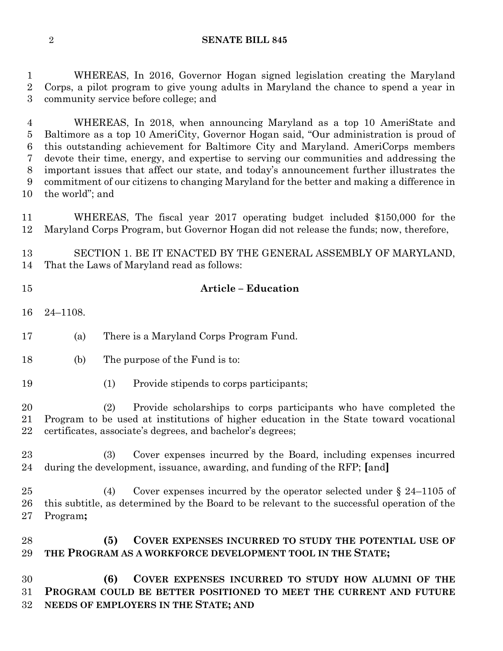**SENATE BILL 845**

 WHEREAS, In 2016, Governor Hogan signed legislation creating the Maryland Corps, a pilot program to give young adults in Maryland the chance to spend a year in community service before college; and

 WHEREAS, In 2018, when announcing Maryland as a top 10 AmeriState and Baltimore as a top 10 AmeriCity, Governor Hogan said, "Our administration is proud of this outstanding achievement for Baltimore City and Maryland. AmeriCorps members devote their time, energy, and expertise to serving our communities and addressing the important issues that affect our state, and today's announcement further illustrates the commitment of our citizens to changing Maryland for the better and making a difference in the world"; and

 WHEREAS, The fiscal year 2017 operating budget included \$150,000 for the Maryland Corps Program, but Governor Hogan did not release the funds; now, therefore,

 SECTION 1. BE IT ENACTED BY THE GENERAL ASSEMBLY OF MARYLAND, That the Laws of Maryland read as follows:

## **Article – Education**

24–1108.

(a) There is a Maryland Corps Program Fund.

- (b) The purpose of the Fund is to:
- (1) Provide stipends to corps participants;

 (2) Provide scholarships to corps participants who have completed the Program to be used at institutions of higher education in the State toward vocational certificates, associate's degrees, and bachelor's degrees;

 (3) Cover expenses incurred by the Board, including expenses incurred during the development, issuance, awarding, and funding of the RFP; **[**and**]**

 (4) Cover expenses incurred by the operator selected under § 24–1105 of this subtitle, as determined by the Board to be relevant to the successful operation of the Program**;**

 **(5) COVER EXPENSES INCURRED TO STUDY THE POTENTIAL USE OF THE PROGRAM AS A WORKFORCE DEVELOPMENT TOOL IN THE STATE;**

 **(6) COVER EXPENSES INCURRED TO STUDY HOW ALUMNI OF THE PROGRAM COULD BE BETTER POSITIONED TO MEET THE CURRENT AND FUTURE NEEDS OF EMPLOYERS IN THE STATE; AND**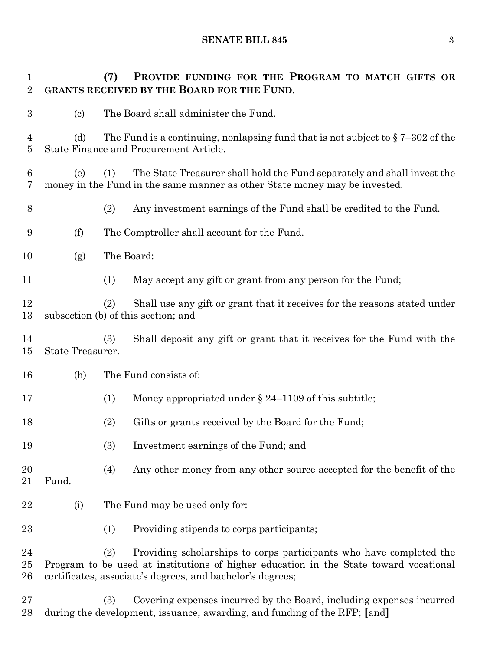**SENATE BILL 845** 3

 **(7) PROVIDE FUNDING FOR THE PROGRAM TO MATCH GIFTS OR GRANTS RECEIVED BY THE BOARD FOR THE FUND**. (c) The Board shall administer the Fund. 4 (d) The Fund is a continuing, nonlapsing fund that is not subject to  $\S 7-302$  of the State Finance and Procurement Article. (e) (1) The State Treasurer shall hold the Fund separately and shall invest the money in the Fund in the same manner as other State money may be invested. (2) Any investment earnings of the Fund shall be credited to the Fund. (f) The Comptroller shall account for the Fund. (g) The Board: (1) May accept any gift or grant from any person for the Fund; (2) Shall use any gift or grant that it receives for the reasons stated under subsection (b) of this section; and (3) Shall deposit any gift or grant that it receives for the Fund with the State Treasurer. (h) The Fund consists of: 17 (1) Money appropriated under § 24–1109 of this subtitle; (2) Gifts or grants received by the Board for the Fund; (3) Investment earnings of the Fund; and (4) Any other money from any other source accepted for the benefit of the Fund. 22 (i) The Fund may be used only for: (1) Providing stipends to corps participants; (2) Providing scholarships to corps participants who have completed the Program to be used at institutions of higher education in the State toward vocational certificates, associate's degrees, and bachelor's degrees; (3) Covering expenses incurred by the Board, including expenses incurred

during the development, issuance, awarding, and funding of the RFP; **[**and**]**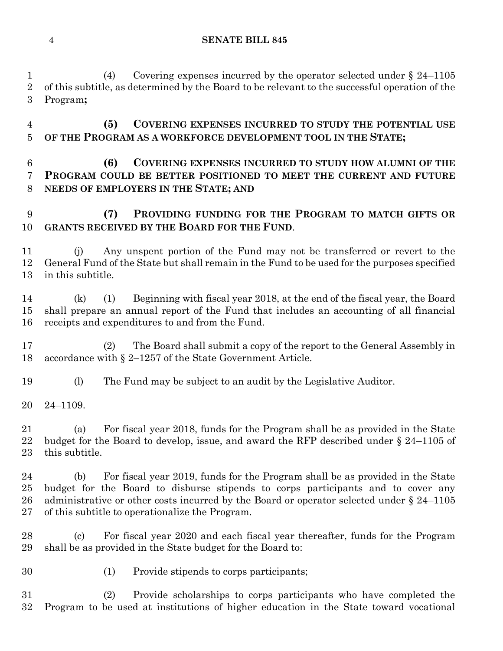### **SENATE BILL 845**

 (4) Covering expenses incurred by the operator selected under § 24–1105 of this subtitle, as determined by the Board to be relevant to the successful operation of the Program**;**

 **(5) COVERING EXPENSES INCURRED TO STUDY THE POTENTIAL USE OF THE PROGRAM AS A WORKFORCE DEVELOPMENT TOOL IN THE STATE;**

## **(6) COVERING EXPENSES INCURRED TO STUDY HOW ALUMNI OF THE PROGRAM COULD BE BETTER POSITIONED TO MEET THE CURRENT AND FUTURE NEEDS OF EMPLOYERS IN THE STATE; AND**

## **(7) PROVIDING FUNDING FOR THE PROGRAM TO MATCH GIFTS OR GRANTS RECEIVED BY THE BOARD FOR THE FUND**.

 (j) Any unspent portion of the Fund may not be transferred or revert to the General Fund of the State but shall remain in the Fund to be used for the purposes specified in this subtitle.

 (k) (1) Beginning with fiscal year 2018, at the end of the fiscal year, the Board shall prepare an annual report of the Fund that includes an accounting of all financial receipts and expenditures to and from the Fund.

 (2) The Board shall submit a copy of the report to the General Assembly in accordance with § 2–1257 of the State Government Article.

(l) The Fund may be subject to an audit by the Legislative Auditor.

24–1109.

 (a) For fiscal year 2018, funds for the Program shall be as provided in the State budget for the Board to develop, issue, and award the RFP described under § 24–1105 of this subtitle.

 (b) For fiscal year 2019, funds for the Program shall be as provided in the State budget for the Board to disburse stipends to corps participants and to cover any 26 administrative or other costs incurred by the Board or operator selected under  $\S 24-1105$ of this subtitle to operationalize the Program.

 (c) For fiscal year 2020 and each fiscal year thereafter, funds for the Program shall be as provided in the State budget for the Board to:

(1) Provide stipends to corps participants;

 (2) Provide scholarships to corps participants who have completed the Program to be used at institutions of higher education in the State toward vocational